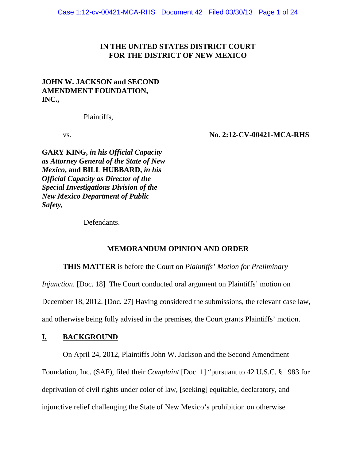# **IN THE UNITED STATES DISTRICT COURT FOR THE DISTRICT OF NEW MEXICO**

# **JOHN W. JACKSON and SECOND AMENDMENT FOUNDATION, INC.,**

Plaintiffs,

vs. **No. 2:12-CV-00421-MCA-RHS**

**GARY KING,** *in his Official Capacity as Attorney General of the State of New Mexico***, and BILL HUBBARD,** *in his Official Capacity as Director of the Special Investigations Division of the New Mexico Department of Public Safety,*

Defendants.

## **MEMORANDUM OPINION AND ORDER**

**THIS MATTER** is before the Court on *Plaintiffs' Motion for Preliminary*

*Injunction*. [Doc. 18] The Court conducted oral argument on Plaintiffs' motion on

December 18, 2012. [Doc. 27] Having considered the submissions, the relevant case law,

and otherwise being fully advised in the premises, the Court grants Plaintiffs' motion.

## **I. BACKGROUND**

On April 24, 2012, Plaintiffs John W. Jackson and the Second Amendment

Foundation, Inc. (SAF), filed their *Complaint* [Doc. 1] "pursuant to 42 U.S.C. § 1983 for

deprivation of civil rights under color of law, [seeking] equitable, declaratory, and

injunctive relief challenging the State of New Mexico's prohibition on otherwise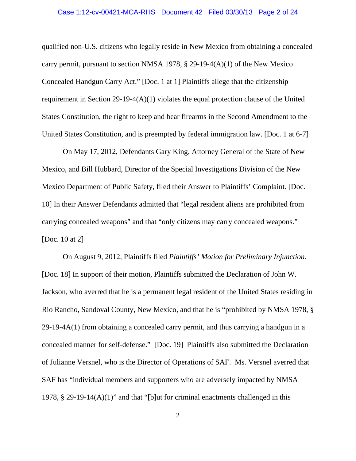#### Case 1:12-cv-00421-MCA-RHS Document 42 Filed 03/30/13 Page 2 of 24

qualified non-U.S. citizens who legally reside in New Mexico from obtaining a concealed carry permit, pursuant to section NMSA 1978,  $\S$  29-19-4(A)(1) of the New Mexico Concealed Handgun Carry Act." [Doc. 1 at 1] Plaintiffs allege that the citizenship requirement in Section 29-19-4(A)(1) violates the equal protection clause of the United States Constitution, the right to keep and bear firearms in the Second Amendment to the United States Constitution, and is preempted by federal immigration law. [Doc. 1 at 6-7]

On May 17, 2012, Defendants Gary King, Attorney General of the State of New Mexico, and Bill Hubbard, Director of the Special Investigations Division of the New Mexico Department of Public Safety, filed their Answer to Plaintiffs' Complaint. [Doc. 10] In their Answer Defendants admitted that "legal resident aliens are prohibited from carrying concealed weapons" and that "only citizens may carry concealed weapons." [Doc. 10 at 2]

On August 9, 2012, Plaintiffs filed *Plaintiffs' Motion for Preliminary Injunction*. [Doc. 18] In support of their motion, Plaintiffs submitted the Declaration of John W. Jackson, who averred that he is a permanent legal resident of the United States residing in Rio Rancho, Sandoval County, New Mexico, and that he is "prohibited by NMSA 1978, § 29-19-4A(1) from obtaining a concealed carry permit, and thus carrying a handgun in a concealed manner for self-defense." [Doc. 19] Plaintiffs also submitted the Declaration of Julianne Versnel, who is the Director of Operations of SAF. Ms. Versnel averred that SAF has "individual members and supporters who are adversely impacted by NMSA 1978, § 29-19-14(A)(1)" and that "[b]ut for criminal enactments challenged in this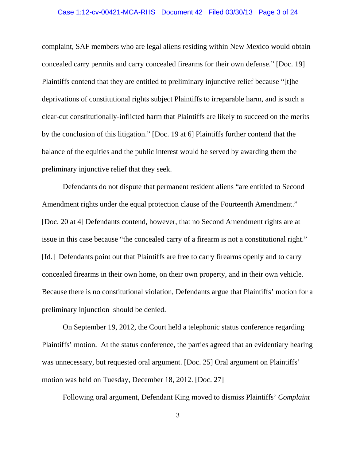#### Case 1:12-cv-00421-MCA-RHS Document 42 Filed 03/30/13 Page 3 of 24

complaint, SAF members who are legal aliens residing within New Mexico would obtain concealed carry permits and carry concealed firearms for their own defense." [Doc. 19] Plaintiffs contend that they are entitled to preliminary injunctive relief because "[t]he deprivations of constitutional rights subject Plaintiffs to irreparable harm, and is such a clear-cut constitutionally-inflicted harm that Plaintiffs are likely to succeed on the merits by the conclusion of this litigation." [Doc. 19 at 6] Plaintiffs further contend that the balance of the equities and the public interest would be served by awarding them the preliminary injunctive relief that they seek.

Defendants do not dispute that permanent resident aliens "are entitled to Second Amendment rights under the equal protection clause of the Fourteenth Amendment." [Doc. 20 at 4] Defendants contend, however, that no Second Amendment rights are at issue in this case because "the concealed carry of a firearm is not a constitutional right." [Id.] Defendants point out that Plaintiffs are free to carry firearms openly and to carry concealed firearms in their own home, on their own property, and in their own vehicle. Because there is no constitutional violation, Defendants argue that Plaintiffs' motion for a preliminary injunction should be denied.

On September 19, 2012, the Court held a telephonic status conference regarding Plaintiffs' motion. At the status conference, the parties agreed that an evidentiary hearing was unnecessary, but requested oral argument. [Doc. 25] Oral argument on Plaintiffs' motion was held on Tuesday, December 18, 2012. [Doc. 27]

Following oral argument, Defendant King moved to dismiss Plaintiffs' *Complaint*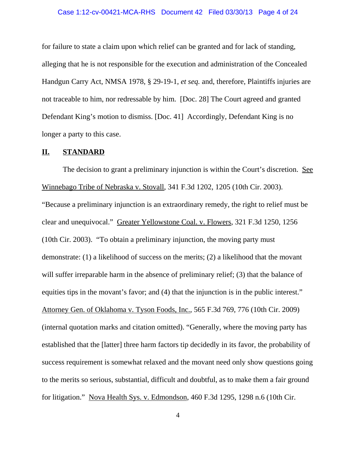#### Case 1:12-cv-00421-MCA-RHS Document 42 Filed 03/30/13 Page 4 of 24

for failure to state a claim upon which relief can be granted and for lack of standing, alleging that he is not responsible for the execution and administration of the Concealed Handgun Carry Act, NMSA 1978, § 29-19-1, *et seq.* and, therefore, Plaintiffs injuries are not traceable to him, nor redressable by him. [Doc. 28] The Court agreed and granted Defendant King's motion to dismiss. [Doc. 41] Accordingly, Defendant King is no longer a party to this case.

## **II. STANDARD**

The decision to grant a preliminary injunction is within the Court's discretion. See Winnebago Tribe of Nebraska v. Stovall, 341 F.3d 1202, 1205 (10th Cir. 2003). "Because a preliminary injunction is an extraordinary remedy, the right to relief must be clear and unequivocal." Greater Yellowstone Coal. v. Flowers, 321 F.3d 1250, 1256 (10th Cir. 2003). "To obtain a preliminary injunction, the moving party must demonstrate: (1) a likelihood of success on the merits; (2) a likelihood that the movant will suffer irreparable harm in the absence of preliminary relief; (3) that the balance of equities tips in the movant's favor; and (4) that the injunction is in the public interest." Attorney Gen. of Oklahoma v. Tyson Foods, Inc., 565 F.3d 769, 776 (10th Cir. 2009) (internal quotation marks and citation omitted). "Generally, where the moving party has established that the [latter] three harm factors tip decidedly in its favor, the probability of success requirement is somewhat relaxed and the movant need only show questions going to the merits so serious, substantial, difficult and doubtful, as to make them a fair ground for litigation." Nova Health Sys. v. Edmondson, 460 F.3d 1295, 1298 n.6 (10th Cir.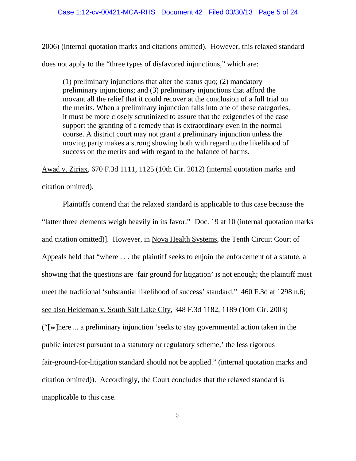#### Case 1:12-cv-00421-MCA-RHS Document 42 Filed 03/30/13 Page 5 of 24

2006) (internal quotation marks and citations omitted). However, this relaxed standard does not apply to the "three types of disfavored injunctions," which are:

(1) preliminary injunctions that alter the status quo; (2) mandatory preliminary injunctions; and (3) preliminary injunctions that afford the movant all the relief that it could recover at the conclusion of a full trial on the merits. When a preliminary injunction falls into one of these categories, it must be more closely scrutinized to assure that the exigencies of the case support the granting of a remedy that is extraordinary even in the normal course. A district court may not grant a preliminary injunction unless the moving party makes a strong showing both with regard to the likelihood of success on the merits and with regard to the balance of harms.

Awad v. Ziriax, 670 F.3d 1111, 1125 (10th Cir. 2012) (internal quotation marks and citation omitted).

Plaintiffs contend that the relaxed standard is applicable to this case because the "latter three elements weigh heavily in its favor." [Doc. 19 at 10 (internal quotation marks and citation omitted)]. However, in Nova Health Systems, the Tenth Circuit Court of Appeals held that "where . . . the plaintiff seeks to enjoin the enforcement of a statute, a showing that the questions are 'fair ground for litigation' is not enough; the plaintiff must meet the traditional 'substantial likelihood of success' standard." 460 F.3d at 1298 n.6; see also Heideman v. South Salt Lake City, 348 F.3d 1182, 1189 (10th Cir. 2003) ("[w]here ... a preliminary injunction 'seeks to stay governmental action taken in the public interest pursuant to a statutory or regulatory scheme,' the less rigorous fair-ground-for-litigation standard should not be applied." (internal quotation marks and citation omitted)). Accordingly, the Court concludes that the relaxed standard is inapplicable to this case.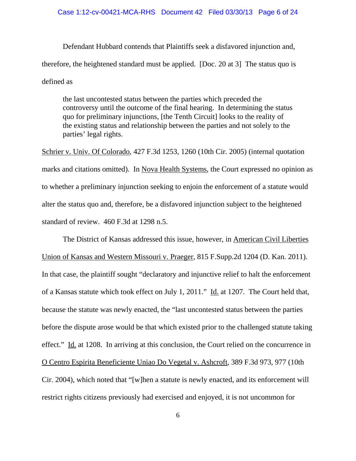#### Case 1:12-cv-00421-MCA-RHS Document 42 Filed 03/30/13 Page 6 of 24

Defendant Hubbard contends that Plaintiffs seek a disfavored injunction and, therefore, the heightened standard must be applied. [Doc. 20 at 3] The status quo is defined as

the last uncontested status between the parties which preceded the controversy until the outcome of the final hearing. In determining the status quo for preliminary injunctions, [the Tenth Circuit] looks to the reality of the existing status and relationship between the parties and not solely to the parties' legal rights.

Schrier v. Univ. Of Colorado, 427 F.3d 1253, 1260 (10th Cir. 2005) (internal quotation marks and citations omitted). In Nova Health Systems, the Court expressed no opinion as to whether a preliminary injunction seeking to enjoin the enforcement of a statute would alter the status quo and, therefore, be a disfavored injunction subject to the heightened standard of review. 460 F.3d at 1298 n.5.

The District of Kansas addressed this issue, however, in American Civil Liberties Union of Kansas and Western Missouri v. Praeger, 815 F.Supp.2d 1204 (D. Kan. 2011). In that case, the plaintiff sought "declaratory and injunctive relief to halt the enforcement of a Kansas statute which took effect on July 1, 2011." Id. at 1207. The Court held that, because the statute was newly enacted, the "last uncontested status between the parties before the dispute arose would be that which existed prior to the challenged statute taking effect." Id. at 1208. In arriving at this conclusion, the Court relied on the concurrence in O Centro Espirita Beneficiente Uniao Do Vegetal v. Ashcroft, 389 F.3d 973, 977 (10th Cir. 2004), which noted that "[w]hen a statute is newly enacted, and its enforcement will restrict rights citizens previously had exercised and enjoyed, it is not uncommon for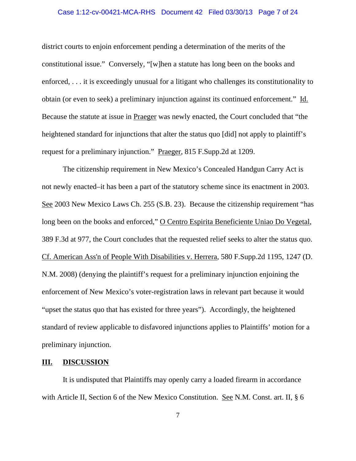#### Case 1:12-cv-00421-MCA-RHS Document 42 Filed 03/30/13 Page 7 of 24

district courts to enjoin enforcement pending a determination of the merits of the constitutional issue." Conversely, "[w]hen a statute has long been on the books and enforced, . . . it is exceedingly unusual for a litigant who challenges its constitutionality to obtain (or even to seek) a preliminary injunction against its continued enforcement." Id. Because the statute at issue in Praeger was newly enacted, the Court concluded that "the heightened standard for injunctions that alter the status quo [did] not apply to plaintiff's request for a preliminary injunction." Praeger, 815 F.Supp.2d at 1209.

The citizenship requirement in New Mexico's Concealed Handgun Carry Act is not newly enacted–it has been a part of the statutory scheme since its enactment in 2003. See 2003 New Mexico Laws Ch. 255 (S.B. 23). Because the citizenship requirement "has long been on the books and enforced," O Centro Espirita Beneficiente Uniao Do Vegetal, 389 F.3d at 977, the Court concludes that the requested relief seeks to alter the status quo. Cf. American Ass'n of People With Disabilities v. Herrera, 580 F.Supp.2d 1195, 1247 (D. N.M. 2008) (denying the plaintiff's request for a preliminary injunction enjoining the enforcement of New Mexico's voter-registration laws in relevant part because it would "upset the status quo that has existed for three years"). Accordingly, the heightened standard of review applicable to disfavored injunctions applies to Plaintiffs' motion for a preliminary injunction.

## **III. DISCUSSION**

It is undisputed that Plaintiffs may openly carry a loaded firearm in accordance with Article II, Section 6 of the New Mexico Constitution. See N.M. Const. art. II, § 6

7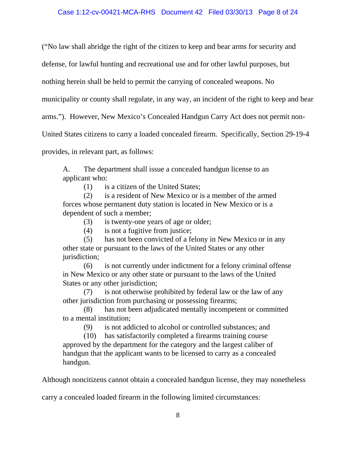("No law shall abridge the right of the citizen to keep and bear arms for security and

defense, for lawful hunting and recreational use and for other lawful purposes, but

nothing herein shall be held to permit the carrying of concealed weapons. No

municipality or county shall regulate, in any way, an incident of the right to keep and bear

arms."). However, New Mexico's Concealed Handgun Carry Act does not permit non-

United States citizens to carry a loaded concealed firearm. Specifically, Section 29-19-4

provides, in relevant part, as follows:

A. The department shall issue a concealed handgun license to an applicant who:

(1) is a citizen of the United States;

(2) is a resident of New Mexico or is a member of the armed forces whose permanent duty station is located in New Mexico or is a dependent of such a member;

(3) is twenty-one years of age or older;

(4) is not a fugitive from justice;

(5) has not been convicted of a felony in New Mexico or in any other state or pursuant to the laws of the United States or any other jurisdiction;

(6) is not currently under indictment for a felony criminal offense in New Mexico or any other state or pursuant to the laws of the United States or any other jurisdiction;

(7) is not otherwise prohibited by federal law or the law of any other jurisdiction from purchasing or possessing firearms;

(8) has not been adjudicated mentally incompetent or committed to a mental institution;

(9) is not addicted to alcohol or controlled substances; and

(10) has satisfactorily completed a firearms training course approved by the department for the category and the largest caliber of handgun that the applicant wants to be licensed to carry as a concealed handgun.

Although noncitizens cannot obtain a concealed handgun license, they may nonetheless

carry a concealed loaded firearm in the following limited circumstances: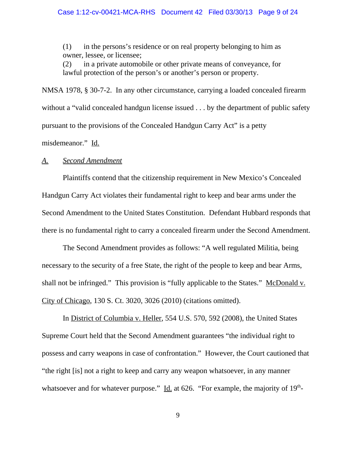#### Case 1:12-cv-00421-MCA-RHS Document 42 Filed 03/30/13 Page 9 of 24

(1) in the persons's residence or on real property belonging to him as owner, lessee, or licensee;

(2) in a private automobile or other private means of conveyance, for lawful protection of the person's or another's person or property.

NMSA 1978, § 30-7-2. In any other circumstance, carrying a loaded concealed firearm without a "valid concealed handgun license issued . . . by the department of public safety pursuant to the provisions of the Concealed Handgun Carry Act" is a petty

misdemeanor." Id.

## *A. Second Amendment*

Plaintiffs contend that the citizenship requirement in New Mexico's Concealed Handgun Carry Act violates their fundamental right to keep and bear arms under the Second Amendment to the United States Constitution. Defendant Hubbard responds that there is no fundamental right to carry a concealed firearm under the Second Amendment.

The Second Amendment provides as follows: "A well regulated Militia, being necessary to the security of a free State, the right of the people to keep and bear Arms, shall not be infringed." This provision is "fully applicable to the States." McDonald v. City of Chicago, 130 S. Ct. 3020, 3026 (2010) (citations omitted).

In District of Columbia v. Heller, 554 U.S. 570, 592 (2008), the United States Supreme Court held that the Second Amendment guarantees "the individual right to possess and carry weapons in case of confrontation." However, the Court cautioned that "the right [is] not a right to keep and carry any weapon whatsoever, in any manner whatsoever and for whatever purpose." Id. at  $626$ . "For example, the majority of  $19<sup>th</sup>$ -

9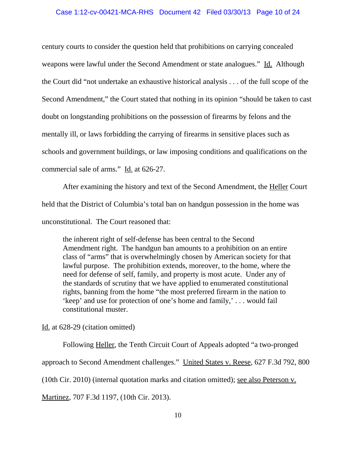#### Case 1:12-cv-00421-MCA-RHS Document 42 Filed 03/30/13 Page 10 of 24

century courts to consider the question held that prohibitions on carrying concealed weapons were lawful under the Second Amendment or state analogues." Id. Although the Court did "not undertake an exhaustive historical analysis . . . of the full scope of the Second Amendment," the Court stated that nothing in its opinion "should be taken to cast doubt on longstanding prohibitions on the possession of firearms by felons and the mentally ill, or laws forbidding the carrying of firearms in sensitive places such as schools and government buildings, or law imposing conditions and qualifications on the commercial sale of arms." Id. at 626-27.

After examining the history and text of the Second Amendment, the Heller Court held that the District of Columbia's total ban on handgun possession in the home was unconstitutional. The Court reasoned that:

the inherent right of self-defense has been central to the Second Amendment right. The handgun ban amounts to a prohibition on an entire class of "arms" that is overwhelmingly chosen by American society for that lawful purpose. The prohibition extends, moreover, to the home, where the need for defense of self, family, and property is most acute. Under any of the standards of scrutiny that we have applied to enumerated constitutional rights, banning from the home "the most preferred firearm in the nation to 'keep' and use for protection of one's home and family,' . . . would fail constitutional muster.

Id. at 628-29 (citation omitted)

Following Heller, the Tenth Circuit Court of Appeals adopted "a two-pronged approach to Second Amendment challenges." United States v. Reese, 627 F.3d 792, 800 (10th Cir. 2010) (internal quotation marks and citation omitted); see also Peterson v. Martinez, 707 F.3d 1197, (10th Cir. 2013).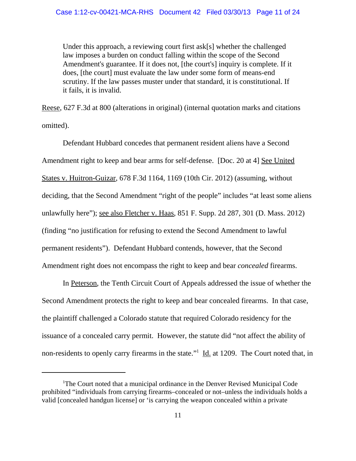Under this approach, a reviewing court first ask[s] whether the challenged law imposes a burden on conduct falling within the scope of the Second Amendment's guarantee. If it does not, [the court's] inquiry is complete. If it does, [the court] must evaluate the law under some form of means-end scrutiny. If the law passes muster under that standard, it is constitutional. If it fails, it is invalid.

Reese, 627 F.3d at 800 (alterations in original) (internal quotation marks and citations omitted).

Defendant Hubbard concedes that permanent resident aliens have a Second Amendment right to keep and bear arms for self-defense. [Doc. 20 at 4] See United States v. Huitron-Guizar, 678 F.3d 1164, 1169 (10th Cir. 2012) (assuming, without deciding, that the Second Amendment "right of the people" includes "at least some aliens unlawfully here"); see also Fletcher v. Haas, 851 F. Supp. 2d 287, 301 (D. Mass. 2012) (finding "no justification for refusing to extend the Second Amendment to lawful permanent residents"). Defendant Hubbard contends, however, that the Second Amendment right does not encompass the right to keep and bear *concealed* firearms.

In Peterson, the Tenth Circuit Court of Appeals addressed the issue of whether the Second Amendment protects the right to keep and bear concealed firearms. In that case, the plaintiff challenged a Colorado statute that required Colorado residency for the issuance of a concealed carry permit. However, the statute did "not affect the ability of non-residents to openly carry firearms in the state."<sup>1</sup> Id. at 1209. The Court noted that, in

<sup>&</sup>lt;sup>1</sup>The Court noted that a municipal ordinance in the Denver Revised Municipal Code prohibited "individuals from carrying firearms–concealed or not–unless the individuals holds a valid [concealed handgun license] or 'is carrying the weapon concealed within a private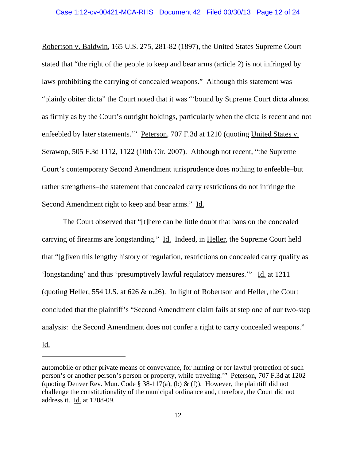Robertson v. Baldwin, 165 U.S. 275, 281-82 (1897), the United States Supreme Court stated that "the right of the people to keep and bear arms (article 2) is not infringed by laws prohibiting the carrying of concealed weapons." Although this statement was "plainly obiter dicta" the Court noted that it was "'bound by Supreme Court dicta almost as firmly as by the Court's outright holdings, particularly when the dicta is recent and not enfeebled by later statements." Peterson, 707 F.3d at 1210 (quoting United States v. Serawop, 505 F.3d 1112, 1122 (10th Cir. 2007). Although not recent, "the Supreme Court's contemporary Second Amendment jurisprudence does nothing to enfeeble–but rather strengthens–the statement that concealed carry restrictions do not infringe the Second Amendment right to keep and bear arms." Id.

The Court observed that "[t]here can be little doubt that bans on the concealed carrying of firearms are longstanding." Id. Indeed, in Heller, the Supreme Court held that "[g]iven this lengthy history of regulation, restrictions on concealed carry qualify as 'longstanding' and thus 'presumptively lawful regulatory measures.'" Id. at 1211 (quoting Heller, 554 U.S. at 626 & n.26). In light of Robertson and Heller, the Court concluded that the plaintiff's "Second Amendment claim fails at step one of our two-step analysis: the Second Amendment does not confer a right to carry concealed weapons."

Id.

automobile or other private means of conveyance, for hunting or for lawful protection of such person's or another person's person or property, while traveling.'" Peterson, 707 F.3d at 1202 (quoting Denver Rev. Mun. Code § 38-117(a), (b) & (f)). However, the plaintiff did not challenge the constitutionality of the municipal ordinance and, therefore, the Court did not address it. Id. at 1208-09.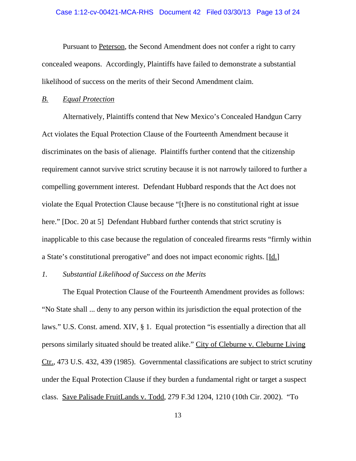Pursuant to Peterson, the Second Amendment does not confer a right to carry concealed weapons. Accordingly, Plaintiffs have failed to demonstrate a substantial likelihood of success on the merits of their Second Amendment claim.

## *B. Equal Protection*

Alternatively, Plaintiffs contend that New Mexico's Concealed Handgun Carry Act violates the Equal Protection Clause of the Fourteenth Amendment because it discriminates on the basis of alienage. Plaintiffs further contend that the citizenship requirement cannot survive strict scrutiny because it is not narrowly tailored to further a compelling government interest. Defendant Hubbard responds that the Act does not violate the Equal Protection Clause because "[t]here is no constitutional right at issue here." [Doc. 20 at 5] Defendant Hubbard further contends that strict scrutiny is inapplicable to this case because the regulation of concealed firearms rests "firmly within a State's constitutional prerogative" and does not impact economic rights. [Id.]

## *1. Substantial Likelihood of Success on the Merits*

The Equal Protection Clause of the Fourteenth Amendment provides as follows: "No State shall ... deny to any person within its jurisdiction the equal protection of the laws." U.S. Const. amend. XIV, § 1. Equal protection "is essentially a direction that all persons similarly situated should be treated alike." City of Cleburne v. Cleburne Living Ctr., 473 U.S. 432, 439 (1985). Governmental classifications are subject to strict scrutiny under the Equal Protection Clause if they burden a fundamental right or target a suspect class. Save Palisade FruitLands v. Todd, 279 F.3d 1204, 1210 (10th Cir. 2002). "To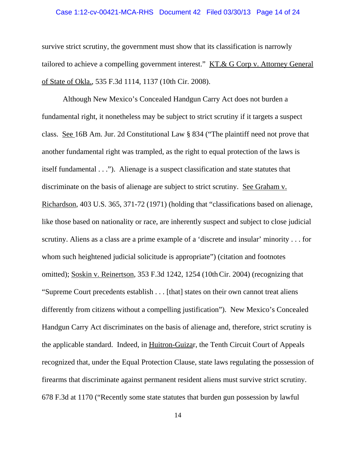#### Case 1:12-cv-00421-MCA-RHS Document 42 Filed 03/30/13 Page 14 of 24

survive strict scrutiny, the government must show that its classification is narrowly tailored to achieve a compelling government interest." KT.& G Corp v. Attorney General of State of Okla., 535 F.3d 1114, 1137 (10th Cir. 2008).

Although New Mexico's Concealed Handgun Carry Act does not burden a fundamental right, it nonetheless may be subject to strict scrutiny if it targets a suspect class. See 16B Am. Jur. 2d Constitutional Law § 834 ("The plaintiff need not prove that another fundamental right was trampled, as the right to equal protection of the laws is itself fundamental . . ."). Alienage is a suspect classification and state statutes that discriminate on the basis of alienage are subject to strict scrutiny. See Graham v. Richardson, 403 U.S. 365, 371-72 (1971) (holding that "classifications based on alienage, like those based on nationality or race, are inherently suspect and subject to close judicial scrutiny. Aliens as a class are a prime example of a 'discrete and insular' minority . . . for whom such heightened judicial solicitude is appropriate") (citation and footnotes omitted); Soskin v. Reinertson, 353 F.3d 1242, 1254 (10thCir. 2004) (recognizing that "Supreme Court precedents establish . . . [that] states on their own cannot treat aliens differently from citizens without a compelling justification"). New Mexico's Concealed Handgun Carry Act discriminates on the basis of alienage and, therefore, strict scrutiny is the applicable standard. Indeed, in Huitron-Guizar, the Tenth Circuit Court of Appeals recognized that, under the Equal Protection Clause, state laws regulating the possession of firearms that discriminate against permanent resident aliens must survive strict scrutiny. 678 F.3d at 1170 ("Recently some state statutes that burden gun possession by lawful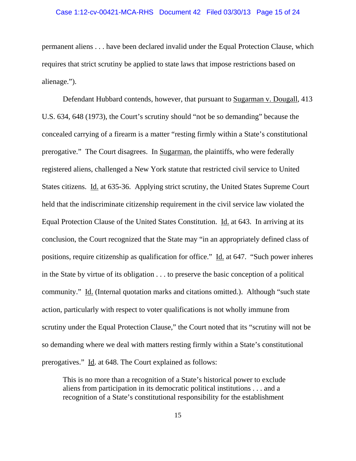permanent aliens . . . have been declared invalid under the Equal Protection Clause, which requires that strict scrutiny be applied to state laws that impose restrictions based on alienage.").

Defendant Hubbard contends, however, that pursuant to Sugarman v. Dougall, 413 U.S. 634, 648 (1973), the Court's scrutiny should "not be so demanding" because the concealed carrying of a firearm is a matter "resting firmly within a State's constitutional prerogative." The Court disagrees. In Sugarman, the plaintiffs, who were federally registered aliens, challenged a New York statute that restricted civil service to United States citizens. Id. at 635-36. Applying strict scrutiny, the United States Supreme Court held that the indiscriminate citizenship requirement in the civil service law violated the Equal Protection Clause of the United States Constitution. Id. at 643. In arriving at its conclusion, the Court recognized that the State may "in an appropriately defined class of positions, require citizenship as qualification for office." Id. at 647. "Such power inheres in the State by virtue of its obligation . . . to preserve the basic conception of a political community." Id. (Internal quotation marks and citations omitted.). Although "such state action, particularly with respect to voter qualifications is not wholly immune from scrutiny under the Equal Protection Clause," the Court noted that its "scrutiny will not be so demanding where we deal with matters resting firmly within a State's constitutional prerogatives." Id. at 648. The Court explained as follows:

This is no more than a recognition of a State's historical power to exclude aliens from participation in its democratic political institutions . . . and a recognition of a State's constitutional responsibility for the establishment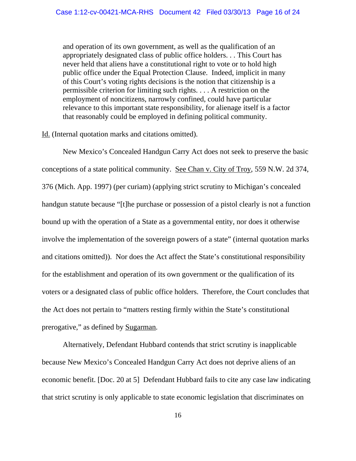and operation of its own government, as well as the qualification of an appropriately designated class of public office holders. . . This Court has never held that aliens have a constitutional right to vote or to hold high public office under the Equal Protection Clause. Indeed, implicit in many of this Court's voting rights decisions is the notion that citizenship is a permissible criterion for limiting such rights. . . . A restriction on the employment of noncitizens, narrowly confined, could have particular relevance to this important state responsibility, for alienage itself is a factor that reasonably could be employed in defining political community.

Id. (Internal quotation marks and citations omitted).

New Mexico's Concealed Handgun Carry Act does not seek to preserve the basic conceptions of a state political community. See Chan v. City of Troy, 559 N.W. 2d 374, 376 (Mich. App. 1997) (per curiam) (applying strict scrutiny to Michigan's concealed handgun statute because "[t]he purchase or possession of a pistol clearly is not a function bound up with the operation of a State as a governmental entity, nor does it otherwise involve the implementation of the sovereign powers of a state" (internal quotation marks and citations omitted)). Nor does the Act affect the State's constitutional responsibility for the establishment and operation of its own government or the qualification of its voters or a designated class of public office holders. Therefore, the Court concludes that the Act does not pertain to "matters resting firmly within the State's constitutional prerogative," as defined by Sugarman.

Alternatively, Defendant Hubbard contends that strict scrutiny is inapplicable because New Mexico's Concealed Handgun Carry Act does not deprive aliens of an economic benefit. [Doc. 20 at 5] Defendant Hubbard fails to cite any case law indicating that strict scrutiny is only applicable to state economic legislation that discriminates on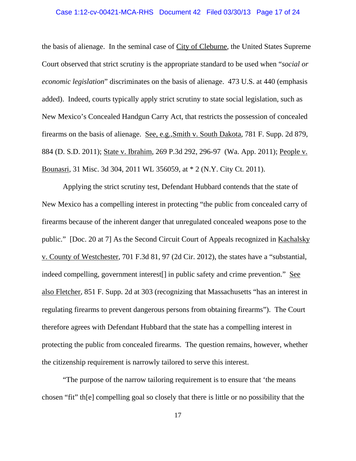#### Case 1:12-cv-00421-MCA-RHS Document 42 Filed 03/30/13 Page 17 of 24

the basis of alienage. In the seminal case of City of Cleburne, the United States Supreme Court observed that strict scrutiny is the appropriate standard to be used when "*social or economic legislation*" discriminates on the basis of alienage. 473 U.S. at 440 (emphasis added). Indeed, courts typically apply strict scrutiny to state social legislation, such as New Mexico's Concealed Handgun Carry Act, that restricts the possession of concealed firearms on the basis of alienage. See, e.g., Smith v. South Dakota, 781 F. Supp. 2d 879, 884 (D. S.D. 2011); State v. Ibrahim, 269 P.3d 292, 296-97 (Wa. App. 2011); People v. Bounasri, 31 Misc. 3d 304, 2011 WL 356059, at \* 2 (N.Y. City Ct. 2011).

Applying the strict scrutiny test, Defendant Hubbard contends that the state of New Mexico has a compelling interest in protecting "the public from concealed carry of firearms because of the inherent danger that unregulated concealed weapons pose to the public." [Doc. 20 at 7] As the Second Circuit Court of Appeals recognized in Kachalsky v. County of Westchester, 701 F.3d 81, 97 (2d Cir. 2012), the states have a "substantial, indeed compelling, government interest<sup>[]</sup> in public safety and crime prevention." See also Fletcher, 851 F. Supp. 2d at 303 (recognizing that Massachusetts "has an interest in regulating firearms to prevent dangerous persons from obtaining firearms"). The Court therefore agrees with Defendant Hubbard that the state has a compelling interest in protecting the public from concealed firearms. The question remains, however, whether the citizenship requirement is narrowly tailored to serve this interest.

"The purpose of the narrow tailoring requirement is to ensure that 'the means chosen "fit" th[e] compelling goal so closely that there is little or no possibility that the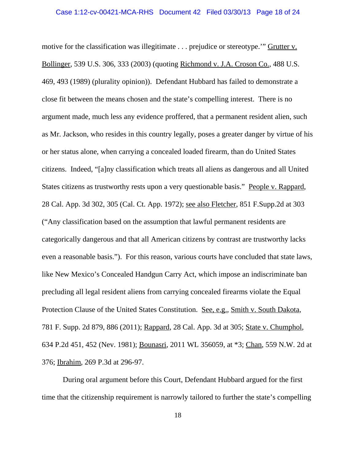motive for the classification was illegitimate . . . prejudice or stereotype.'" Grutter v. Bollinger, 539 U.S. 306, 333 (2003) (quoting Richmond v. J.A. Croson Co., 488 U.S. 469, 493 (1989) (plurality opinion)). Defendant Hubbard has failed to demonstrate a close fit between the means chosen and the state's compelling interest. There is no argument made, much less any evidence proffered, that a permanent resident alien, such as Mr. Jackson, who resides in this country legally, poses a greater danger by virtue of his or her status alone, when carrying a concealed loaded firearm, than do United States citizens. Indeed, "[a]ny classification which treats all aliens as dangerous and all United States citizens as trustworthy rests upon a very questionable basis." People v. Rappard, 28 Cal. App. 3d 302, 305 (Cal. Ct. App. 1972); see also Fletcher, 851 F.Supp.2d at 303 ("Any classification based on the assumption that lawful permanent residents are categorically dangerous and that all American citizens by contrast are trustworthy lacks even a reasonable basis."). For this reason, various courts have concluded that state laws, like New Mexico's Concealed Handgun Carry Act, which impose an indiscriminate ban precluding all legal resident aliens from carrying concealed firearms violate the Equal Protection Clause of the United States Constitution. See, e.g., Smith v. South Dakota, 781 F. Supp. 2d 879, 886 (2011); Rappard, 28 Cal. App. 3d at 305; State v. Chumphol, 634 P.2d 451, 452 (Nev. 1981); Bounasri, 2011 WL 356059, at \*3; Chan, 559 N.W. 2d at 376; Ibrahim, 269 P.3d at 296-97.

During oral argument before this Court, Defendant Hubbard argued for the first time that the citizenship requirement is narrowly tailored to further the state's compelling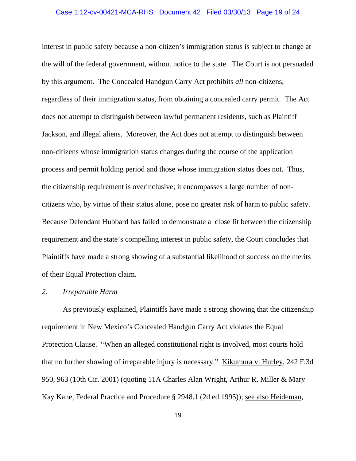#### Case 1:12-cv-00421-MCA-RHS Document 42 Filed 03/30/13 Page 19 of 24

interest in public safety because a non-citizen's immigration status is subject to change at the will of the federal government, without notice to the state. The Court is not persuaded by this argument. The Concealed Handgun Carry Act prohibits *all* non-citizens, regardless of their immigration status, from obtaining a concealed carry permit. The Act does not attempt to distinguish between lawful permanent residents, such as Plaintiff Jackson, and illegal aliens. Moreover, the Act does not attempt to distinguish between non-citizens whose immigration status changes during the course of the application process and permit holding period and those whose immigration status does not. Thus, the citizenship requirement is overinclusive; it encompasses a large number of noncitizens who, by virtue of their status alone, pose no greater risk of harm to public safety. Because Defendant Hubbard has failed to demonstrate a close fit between the citizenship requirement and the state's compelling interest in public safety, the Court concludes that Plaintiffs have made a strong showing of a substantial likelihood of success on the merits of their Equal Protection claim.

## *2. Irreparable Harm*

As previously explained, Plaintiffs have made a strong showing that the citizenship requirement in New Mexico's Concealed Handgun Carry Act violates the Equal Protection Clause. "When an alleged constitutional right is involved, most courts hold that no further showing of irreparable injury is necessary." Kikumura v. Hurley, 242 F.3d 950, 963 (10th Cir. 2001) (quoting 11A Charles Alan Wright, Arthur R. Miller & Mary Kay Kane, Federal Practice and Procedure § 2948.1 (2d ed.1995)); see also Heideman,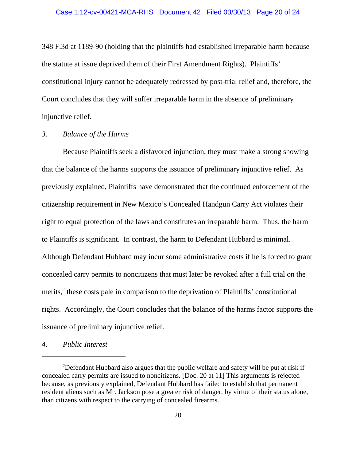348 F.3d at 1189-90 (holding that the plaintiffs had established irreparable harm because the statute at issue deprived them of their First Amendment Rights). Plaintiffs' constitutional injury cannot be adequately redressed by post-trial relief and, therefore, the Court concludes that they will suffer irreparable harm in the absence of preliminary injunctive relief.

## *3. Balance of the Harms*

Because Plaintiffs seek a disfavored injunction, they must make a strong showing that the balance of the harms supports the issuance of preliminary injunctive relief. As previously explained, Plaintiffs have demonstrated that the continued enforcement of the citizenship requirement in New Mexico's Concealed Handgun Carry Act violates their right to equal protection of the laws and constitutes an irreparable harm. Thus, the harm to Plaintiffs is significant. In contrast, the harm to Defendant Hubbard is minimal. Although Defendant Hubbard may incur some administrative costs if he is forced to grant concealed carry permits to noncitizens that must later be revoked after a full trial on the merits,<sup>2</sup> these costs pale in comparison to the deprivation of Plaintiffs' constitutional rights. Accordingly, the Court concludes that the balance of the harms factor supports the issuance of preliminary injunctive relief.

*4. Public Interest*

<sup>&</sup>lt;sup>2</sup>Defendant Hubbard also argues that the public welfare and safety will be put at risk if concealed carry permits are issued to noncitizens. [Doc. 20 at 11] This arguments is rejected because, as previously explained, Defendant Hubbard has failed to establish that permanent resident aliens such as Mr. Jackson pose a greater risk of danger, by virtue of their status alone, than citizens with respect to the carrying of concealed firearms.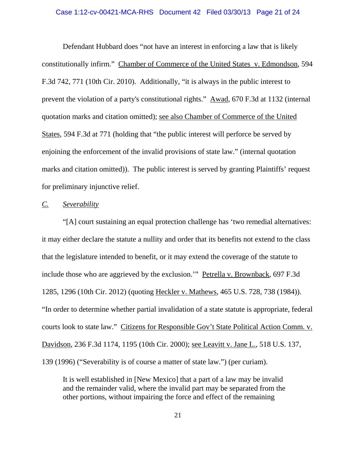#### Case 1:12-cv-00421-MCA-RHS Document 42 Filed 03/30/13 Page 21 of 24

Defendant Hubbard does "not have an interest in enforcing a law that is likely constitutionally infirm." Chamber of Commerce of the United States v. Edmondson, 594 F.3d 742, 771 (10th Cir. 2010). Additionally, "it is always in the public interest to prevent the violation of a party's constitutional rights." Awad, 670 F.3d at 1132 (internal quotation marks and citation omitted); see also Chamber of Commerce of the United States, 594 F.3d at 771 (holding that "the public interest will perforce be served by enjoining the enforcement of the invalid provisions of state law." (internal quotation marks and citation omitted)). The public interest is served by granting Plaintiffs' request for preliminary injunctive relief.

### *C. Severability*

"[A] court sustaining an equal protection challenge has 'two remedial alternatives: it may either declare the statute a nullity and order that its benefits not extend to the class that the legislature intended to benefit, or it may extend the coverage of the statute to include those who are aggrieved by the exclusion.'" Petrella v. Brownback, 697 F.3d 1285, 1296 (10th Cir. 2012) (quoting Heckler v. Mathews, 465 U.S. 728, 738 (1984)). "In order to determine whether partial invalidation of a state statute is appropriate, federal courts look to state law." Citizens for Responsible Gov't State Political Action Comm. v. Davidson, 236 F.3d 1174, 1195 (10th Cir. 2000); see Leavitt v. Jane L., 518 U.S. 137, 139 (1996) ("Severability is of course a matter of state law.") (per curiam).

It is well established in [New Mexico] that a part of a law may be invalid and the remainder valid, where the invalid part may be separated from the other portions, without impairing the force and effect of the remaining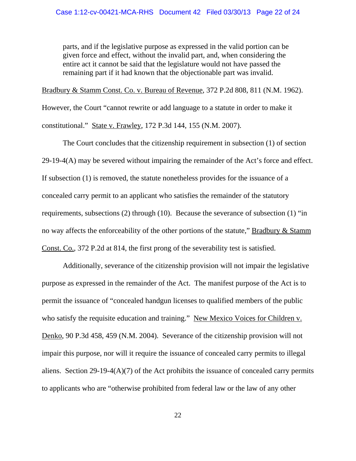parts, and if the legislative purpose as expressed in the valid portion can be given force and effect, without the invalid part, and, when considering the entire act it cannot be said that the legislature would not have passed the remaining part if it had known that the objectionable part was invalid.

Bradbury & Stamm Const. Co. v. Bureau of Revenue, 372 P.2d 808, 811 (N.M. 1962).

However, the Court "cannot rewrite or add language to a statute in order to make it constitutional." State v. Frawley, 172 P.3d 144, 155 (N.M. 2007).

The Court concludes that the citizenship requirement in subsection (1) of section 29-19-4(A) may be severed without impairing the remainder of the Act's force and effect. If subsection (1) is removed, the statute nonetheless provides for the issuance of a concealed carry permit to an applicant who satisfies the remainder of the statutory requirements, subsections (2) through (10). Because the severance of subsection (1) "in no way affects the enforceability of the other portions of the statute," Bradbury & Stamm Const. Co., 372 P.2d at 814, the first prong of the severability test is satisfied.

Additionally, severance of the citizenship provision will not impair the legislative purpose as expressed in the remainder of the Act. The manifest purpose of the Act is to permit the issuance of "concealed handgun licenses to qualified members of the public who satisfy the requisite education and training." New Mexico Voices for Children v. Denko, 90 P.3d 458, 459 (N.M. 2004). Severance of the citizenship provision will not impair this purpose, nor will it require the issuance of concealed carry permits to illegal aliens. Section 29-19-4( $A$ )(7) of the Act prohibits the issuance of concealed carry permits to applicants who are "otherwise prohibited from federal law or the law of any other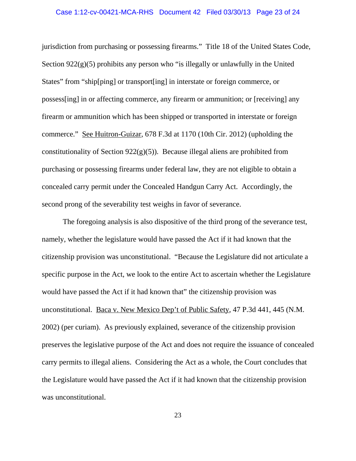#### Case 1:12-cv-00421-MCA-RHS Document 42 Filed 03/30/13 Page 23 of 24

jurisdiction from purchasing or possessing firearms." Title 18 of the United States Code, Section  $922(g)(5)$  prohibits any person who "is illegally or unlawfully in the United States" from "ship[ping] or transport[ing] in interstate or foreign commerce, or possess[ing] in or affecting commerce, any firearm or ammunition; or [receiving] any firearm or ammunition which has been shipped or transported in interstate or foreign commerce." See Huitron-Guizar, 678 F.3d at 1170 (10th Cir. 2012) (upholding the constitutionality of Section  $922(g)(5)$ ). Because illegal aliens are prohibited from purchasing or possessing firearms under federal law, they are not eligible to obtain a concealed carry permit under the Concealed Handgun Carry Act. Accordingly, the second prong of the severability test weighs in favor of severance.

The foregoing analysis is also dispositive of the third prong of the severance test, namely, whether the legislature would have passed the Act if it had known that the citizenship provision was unconstitutional. "Because the Legislature did not articulate a specific purpose in the Act, we look to the entire Act to ascertain whether the Legislature would have passed the Act if it had known that" the citizenship provision was unconstitutional. Baca v. New Mexico Dep't of Public Safety, 47 P.3d 441, 445 (N.M. 2002) (per curiam). As previously explained, severance of the citizenship provision preserves the legislative purpose of the Act and does not require the issuance of concealed carry permits to illegal aliens. Considering the Act as a whole, the Court concludes that the Legislature would have passed the Act if it had known that the citizenship provision was unconstitutional.